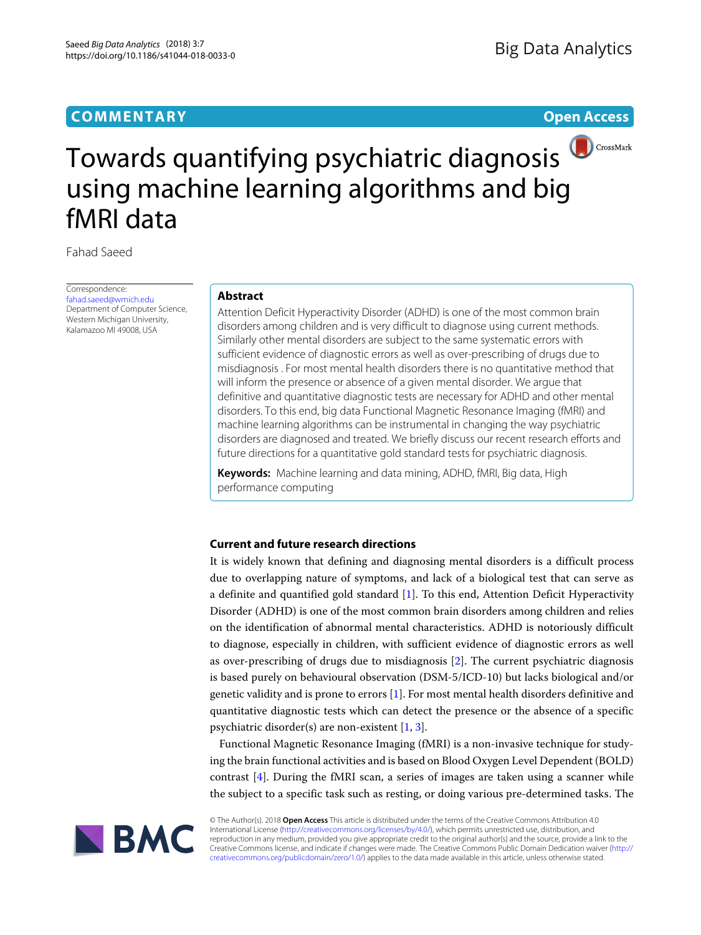## **COMMENTARY Open Access**



# Towards quantifying psychiatric diagnosis using machine learning algorithms and big fMRI data

Fahad Saeed

Correspondence: [fahad.saeed@wmich.edu](mailto: fahad.saeed@wmich.edu) Department of Computer Science, Western Michigan University, Kalamazoo MI 49008, USA

#### **Abstract**

Attention Deficit Hyperactivity Disorder (ADHD) is one of the most common brain disorders among children and is very difficult to diagnose using current methods. Similarly other mental disorders are subject to the same systematic errors with sufficient evidence of diagnostic errors as well as over-prescribing of drugs due to misdiagnosis . For most mental health disorders there is no quantitative method that will inform the presence or absence of a given mental disorder. We argue that definitive and quantitative diagnostic tests are necessary for ADHD and other mental disorders. To this end, big data Functional Magnetic Resonance Imaging (fMRI) and machine learning algorithms can be instrumental in changing the way psychiatric disorders are diagnosed and treated. We briefly discuss our recent research efforts and future directions for a quantitative gold standard tests for psychiatric diagnosis.

**Keywords:** Machine learning and data mining, ADHD, fMRI, Big data, High performance computing

### **Current and future research directions**

It is widely known that defining and diagnosing mental disorders is a difficult process due to overlapping nature of symptoms, and lack of a biological test that can serve as a definite and quantified gold standard [\[1\]](#page-2-0). To this end, Attention Deficit Hyperactivity Disorder (ADHD) is one of the most common brain disorders among children and relies on the identification of abnormal mental characteristics. ADHD is notoriously difficult to diagnose, especially in children, with sufficient evidence of diagnostic errors as well as over-prescribing of drugs due to misdiagnosis [\[2\]](#page-2-1). The current psychiatric diagnosis is based purely on behavioural observation (DSM-5/ICD-10) but lacks biological and/or genetic validity and is prone to errors [\[1\]](#page-2-0). For most mental health disorders definitive and quantitative diagnostic tests which can detect the presence or the absence of a specific psychiatric disorder(s) are non-existent [\[1,](#page-2-0) [3\]](#page-2-2).

Functional Magnetic Resonance Imaging (fMRI) is a non-invasive technique for studying the brain functional activities and is based on Blood Oxygen Level Dependent (BOLD) contrast  $[4]$ . During the fMRI scan, a series of images are taken using a scanner while the subject to a specific task such as resting, or doing various pre-determined tasks. The



© The Author(s). 2018 **Open Access** This article is distributed under the terms of the Creative Commons Attribution 4.0 International License [\(http://creativecommons.org/licenses/by/4.0/\)](http://creativecommons.org/licenses/by/4.0/), which permits unrestricted use, distribution, and reproduction in any medium, provided you give appropriate credit to the original author(s) and the source, provide a link to the Creative Commons license, and indicate if changes were made. The Creative Commons Public Domain Dedication waiver [\(http://](http://creativecommons.org/publicdomain/zero/1.0/) [creativecommons.org/publicdomain/zero/1.0/\)](http://creativecommons.org/publicdomain/zero/1.0/) applies to the data made available in this article, unless otherwise stated.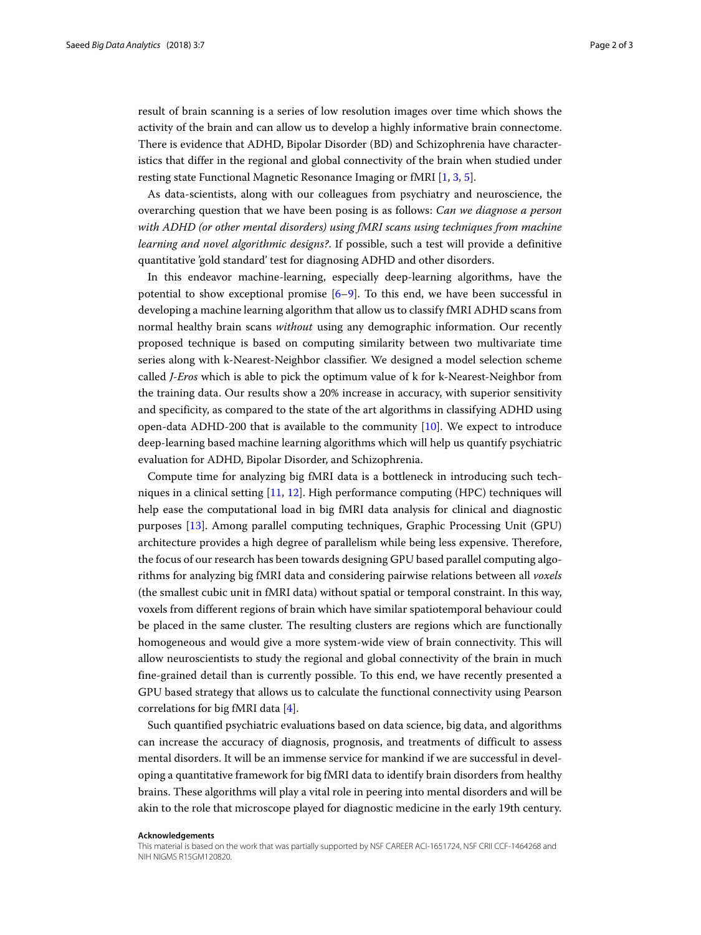result of brain scanning is a series of low resolution images over time which shows the activity of the brain and can allow us to develop a highly informative brain connectome. There is evidence that ADHD, Bipolar Disorder (BD) and Schizophrenia have characteristics that differ in the regional and global connectivity of the brain when studied under resting state Functional Magnetic Resonance Imaging or fMRI [\[1,](#page-2-0) [3,](#page-2-2) [5\]](#page-2-4).

As data-scientists, along with our colleagues from psychiatry and neuroscience, the overarching question that we have been posing is as follows: *Can we diagnose a person with ADHD (or other mental disorders) using fMRI scans using techniques from machine learning and novel algorithmic designs?*. If possible, such a test will provide a definitive quantitative 'gold standard' test for diagnosing ADHD and other disorders.

In this endeavor machine-learning, especially deep-learning algorithms, have the potential to show exceptional promise [\[6–](#page-2-5)[9\]](#page-2-6). To this end, we have been successful in developing a machine learning algorithm that allow us to classify fMRI ADHD scans from normal healthy brain scans *without* using any demographic information. Our recently proposed technique is based on computing similarity between two multivariate time series along with k-Nearest-Neighbor classifier. We designed a model selection scheme called *J-Eros* which is able to pick the optimum value of k for k-Nearest-Neighbor from the training data. Our results show a 20% increase in accuracy, with superior sensitivity and specificity, as compared to the state of the art algorithms in classifying ADHD using open-data ADHD-200 that is available to the community  $[10]$ . We expect to introduce deep-learning based machine learning algorithms which will help us quantify psychiatric evaluation for ADHD, Bipolar Disorder, and Schizophrenia.

Compute time for analyzing big fMRI data is a bottleneck in introducing such techniques in a clinical setting [\[11,](#page-2-8) [12\]](#page-2-9). High performance computing (HPC) techniques will help ease the computational load in big fMRI data analysis for clinical and diagnostic purposes [\[13\]](#page-2-10). Among parallel computing techniques, Graphic Processing Unit (GPU) architecture provides a high degree of parallelism while being less expensive. Therefore, the focus of our research has been towards designing GPU based parallel computing algorithms for analyzing big fMRI data and considering pairwise relations between all *voxels* (the smallest cubic unit in fMRI data) without spatial or temporal constraint. In this way, voxels from different regions of brain which have similar spatiotemporal behaviour could be placed in the same cluster. The resulting clusters are regions which are functionally homogeneous and would give a more system-wide view of brain connectivity. This will allow neuroscientists to study the regional and global connectivity of the brain in much fine-grained detail than is currently possible. To this end, we have recently presented a GPU based strategy that allows us to calculate the functional connectivity using Pearson correlations for big fMRI data [\[4\]](#page-2-3).

Such quantified psychiatric evaluations based on data science, big data, and algorithms can increase the accuracy of diagnosis, prognosis, and treatments of difficult to assess mental disorders. It will be an immense service for mankind if we are successful in developing a quantitative framework for big fMRI data to identify brain disorders from healthy brains. These algorithms will play a vital role in peering into mental disorders and will be akin to the role that microscope played for diagnostic medicine in the early 19th century.

#### **Acknowledgements**

This material is based on the work that was partially supported by NSF CAREER ACI-1651724, NSF CRII CCF-1464268 and NIH NIGMS R15GM120820.